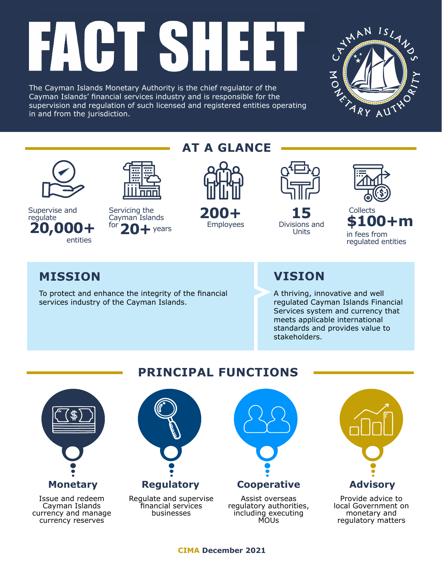# IST: l Hil 74

The Cayman Islands Monetary Authority is the chief regulator of the Cayman Islands' financial services industry and is responsible for the supervision and regulation of such licensed and registered entities operating in and from the jurisdiction.





**20,000+** <sup>for</sup> 20+ years Employees Divisions and Supervise and Servicing the 200+ 15 Collects regulate entities

Servicing the **200+** 15 20+ years

## **AT A GLANCE**



Employees



Units



**200+ \$100+m** in fees from regulated entities

## **MISSION VISION**

To protect and enhance the integrity of the financial services industry of the Cayman Islands.

A thriving, innovative and well regulated Cayman Islands Financial Services system and currency that meets applicable international standards and provides value to stakeholders.



Issue and redeem Cayman Islands currency and manage currency reserves

## **PRINCIPAL FUNCTIONS**



MOUs

**CIMA December 2021**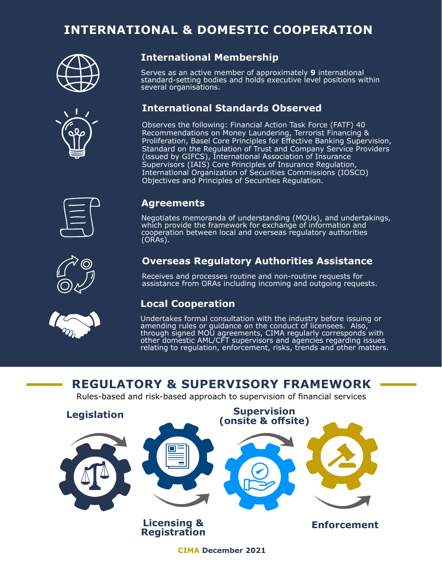## **INTERNATIONAL & DOMESTIC COOPERATION**





### **International Membership**

Serves as an active member of approximately **9** international standard-setting bodies and holds executive level positions within several organisations.

### **International Standards Observed**

Observes the following: Financial Action Task Force (FATF) 40 Recommendations on Money Laundering, Terrorist Financing & Proliferation, Basel Core Principles for Effective Banking Supervision, Standard on the Regulation of Trust and Company Service Providers (issued by GIFCS), International Association of Insurance Supervisors (IAIS) Core Principles of Insurance Regulation, International Organization of Securities Commissions (IOSCO) Objectives and Principles of Securities Regulation.



#### **Agreements**

Negotiates memoranda of understanding (MOUs), and undertakings, which provide the framework for exchange of information and cooperation between local and overseas regulatory authorities (ORAs).

### **Overseas Regulatory Authorities Assistance**

Receives and processes routine and non-routine requests for assistance from ORAs including incoming and outgoing requests.

### **Local Cooperation**

Undertakes formal consultation with the industry before issuing or amending rules or guidance on the conduct of licensees. Also, through signed MOU agreements, CIMA regularly corresponds with other domestic AML/CFT supervisors and agencies regarding issues relating to regulation, enforcement, risks, trends and other matters.

## **REGULATORY & SUPERVISORY FRAMEWORK**

Rules-based and risk-based approach to supervision of financial services



**CIMA December 2021**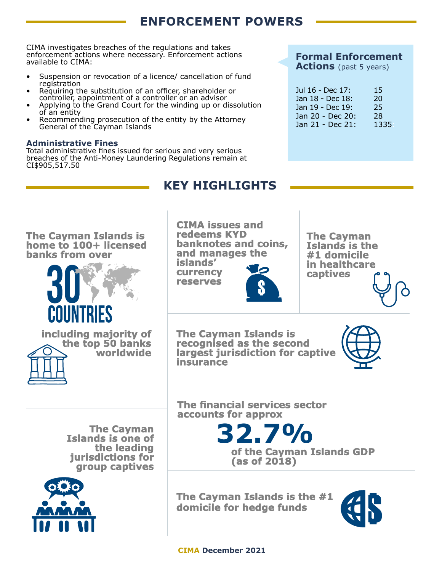## **ENFORCEMENT POWERS**

CIMA investigates breaches of the regulations and takes enforcement actions where necessary. Enforcement actions available to CIMA:

- Suspension or revocation of a licence/ cancellation of fund registration
- Requiring the substitution of an officer, shareholder or controller, appointment of a controller or an advisor
- Applying to the Grand Court for the winding up or dissolution of an entity
- Recommending prosecution of the entity by the Attorney General of the Cayman Islands

#### **Administrative Fines**

Total administrative fines issued for serious and very serious breaches of the Anti-Money Laundering Regulations remain at CI\$905,517.50

### **Formal Enforcement**

**Actions** (past 5 years)

| Jul 16 - Dec 17: | 15   |
|------------------|------|
| Jan 18 - Dec 18: | 20   |
| Jan 19 - Dec 19: | 25   |
| Jan 20 - Dec 20: | 28   |
| Jan 21 - Dec 21: | 1335 |

## **KEY HIGHLIGHTS**

**The Cayman Islands is home to 100+ licensed banks from over**





**CIMA issues and redeems KYD banknotes and coins, and manages the**

**islands' currency reserves**



**The Cayman Islands is the #1 domicile in healthcare captives**

**The Cayman Islands is recognised as the second largest jurisdiction for captive insurance**



**The Cayman Islands is one of the leading jurisdictions for group captives**

**worldwide**



**The financial services sector accounts for approx**

> **32.7% of the Cayman Islands GDP (as of 2018)**

**The Cayman Islands is the #1 domicile for hedge funds**